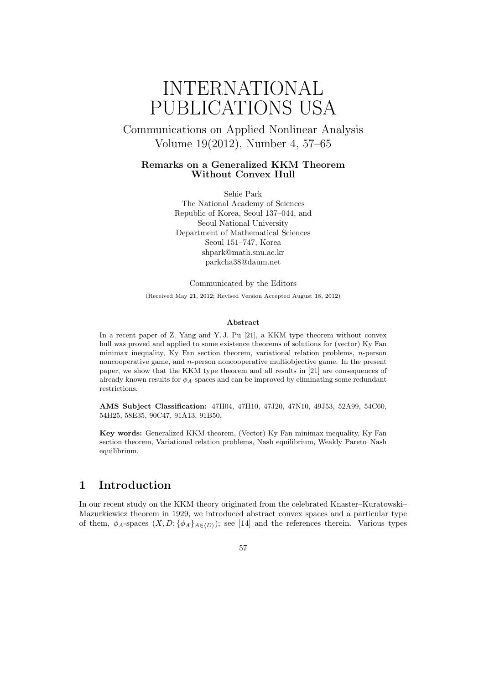# INTERNATIONAL PUBLICATIONS USA

Communications on Applied Nonlinear Analysis Volume 19(2012), Number 4, 57–65

### **Remarks on a Generalized KKM Theorem Without Convex Hull**

Sehie Park The National Academy of Sciences Republic of Korea, Seoul 137–044, and Seoul National University Department of Mathematical Sciences Seoul 151–747, Korea shpark@math.snu.ac.kr parkcha38@daum.net

Communicated by the Editors

(Received May 21, 2012; Revised Version Accepted August 18, 2012)

#### **Abstract**

In a recent paper of Z. Yang and Y. J. Pu [21], a KKM type theorem without convex hull was proved and applied to some existence theorems of solutions for (vector) Ky Fan minimax inequality, Ky Fan section theorem, variational relation problems, *n*-person noncooperative game, and *n*-person noncooperative multiobjective game. In the present paper, we show that the KKM type theorem and all results in [21] are consequences of already known results for *ϕA*-spaces and can be improved by eliminating some redundant restrictions.

**AMS Subject Classification:** 47H04, 47H10, 47J20, 47N10, 49J53, 52A99, 54C60, 54H25, 58E35, 90C47, 91A13, 91B50.

**Key words:** Generalized KKM theorem, (Vector) Ky Fan minimax inequality, Ky Fan section theorem, Variational relation problems, Nash equilibrium, Weakly Pareto–Nash equilibrium.

# **1 Introduction**

In our recent study on the KKM theory originated from the celebrated Knaster–Kuratowski– Mazurkiewicz theorem in 1929, we introduced abstract convex spaces and a particular type of them,  $\phi_A$ -spaces  $(X, D; {\phi_A}_{A \in (D)})$ ; see [14] and the references therein. Various types

### 57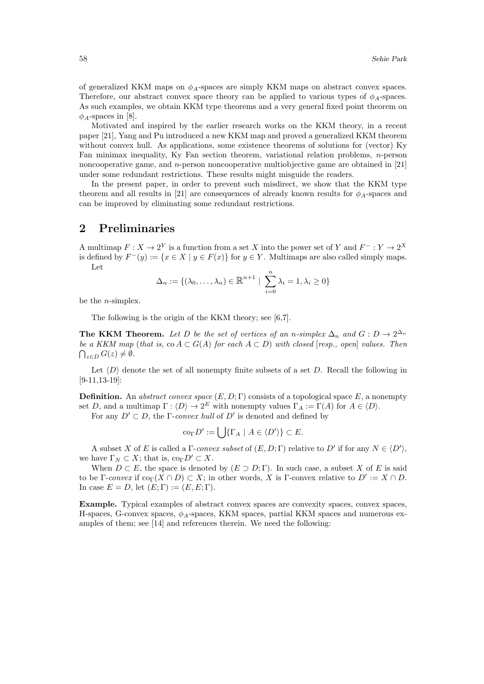of generalized KKM maps on  $\phi_A$ -spaces are simply KKM maps on abstract convex spaces. Therefore, our abstract convex space theory can be applied to various types of *ϕA*-spaces. As such examples, we obtain KKM type theorems and a very general fixed point theorem on  $\phi_A$ -spaces in [8].

Motivated and inspired by the earlier research works on the KKM theory, in a recent paper [21], Yang and Pu introduced a new KKM map and proved a generalized KKM theorem without convex hull. As applications, some existence theorems of solutions for (vector) Ky Fan minimax inequality, Ky Fan section theorem, variational relation problems, *n*-person noncooperative game, and *n*-person noncooperative multiobjective game are obtained in [21] under some redundant restrictions. These results might misguide the readers.

In the present paper, in order to prevent such misdirect, we show that the KKM type theorem and all results in [21] are consequences of already known results for  $\phi_A$ -spaces and can be improved by eliminating some redundant restrictions.

# **2 Preliminaries**

A multimap  $F: X \to 2^Y$  is a function from a set *X* into the power set of *Y* and  $F^-: Y \to 2^X$ is defined by  $F^-(y) := \{x \in X \mid y \in F(x)\}\$  for  $y \in Y$ . Multimaps are also called simply maps. Let

$$
\Delta_n := \{(\lambda_0, \dots, \lambda_n) \in \mathbb{R}^{n+1} \mid \sum_{i=0}^n \lambda_i = 1, \lambda_i \ge 0\}
$$

be the *n*-simplex.

The following is the origin of the KKM theory; see [6,7].

**The KKM Theorem.** Let D be the set of vertices of an *n*-simplex  $\Delta_n$  and  $G: D \to 2^{\Delta_n}$ *be a KKM map* (*that is,* co  $A \subset G(A)$  *for each*  $A \subset D$ ) *with closed* [*resp., open*] *values. Then*  $\bigcap_{z \in D} G(z) \neq \emptyset$ .

Let  $\langle D \rangle$  denote the set of all nonempty finite subsets of a set *D*. Recall the following in [9-11,13-19]:

**Definition.** An *abstract convex space*  $(E, D; \Gamma)$  consists of a topological space  $E$ , a nonempty set *D*, and a multimap  $\Gamma : \langle D \rangle \to 2^E$  with nonempty values  $\Gamma_A := \Gamma(A)$  for  $A \in \langle D \rangle$ .

For any  $D' \subset D$ , the  $\Gamma$ -*convex hull* of  $D'$  is denoted and defined by

$$
\mathrm{co}_{\Gamma} D' := \bigcup \{ \Gamma_A \mid A \in \langle D' \rangle \} \subset E.
$$

A subset *X* of *E* is called a  $\Gamma$ -*convex subset* of  $(E, D; \Gamma)$  relative to  $D'$  if for any  $N \in \langle D' \rangle$ , we have  $\Gamma_N \subset X$ ; that is,  $\text{co}_{\Gamma} D' \subset X$ .

When  $D \subset E$ , the space is denoted by  $(E \supset D; \Gamma)$ . In such case, a subset *X* of *E* is said to be  $\Gamma$ -*convex* if  $\text{co}_{\Gamma}(X \cap D) \subset X$ ; in other words, X is  $\Gamma$ -convex relative to  $D' := X \cap D$ . In case  $E = D$ , let  $(E; \Gamma) := (E, E; \Gamma)$ .

**Example.** Typical examples of abstract convex spaces are convexity spaces, convex spaces, H-spaces, G-convex spaces, *ϕA*-spaces, KKM spaces, partial KKM spaces and numerous examples of them; see [14] and references therein. We need the following: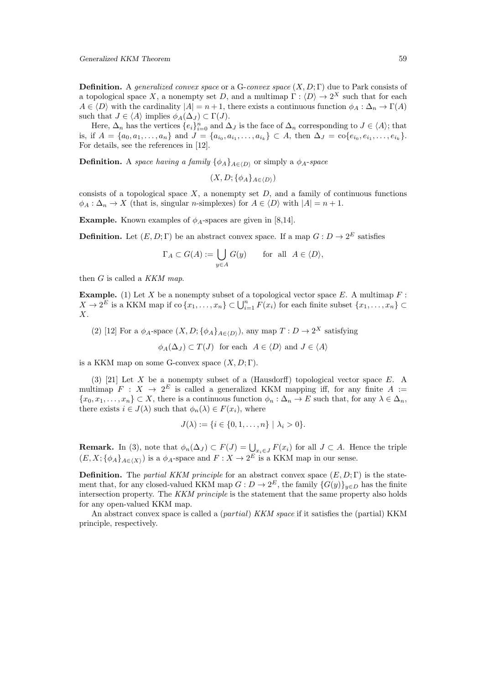**Definition.** A *generalized convex space* or a G-*convex space* (*X, D*; Γ) due to Park consists of a topological space *X*, a nonempty set *D*, and a multimap  $\Gamma : \langle D \rangle \to 2^X$  such that for each  $A \in \langle D \rangle$  with the cardinality  $|A| = n + 1$ , there exists a continuous function  $\phi_A : \Delta_n \to \Gamma(A)$ such that  $J \in \langle A \rangle$  implies  $\phi_A(\Delta_J) \subset \Gamma(J)$ .

Here,  $\Delta_n$  has the vertices  $\{e_i\}_{i=0}^n$  and  $\Delta_J$  is the face of  $\Delta_n$  corresponding to  $J \in \langle A \rangle$ ; that is, if  $A = \{a_0, a_1, \ldots, a_n\}$  and  $J = \{a_{i_0}, a_{i_1}, \ldots, a_{i_k}\} \subset A$ , then  $\Delta_J = \text{co}\{e_{i_0}, e_{i_1}, \ldots, e_{i_k}\}.$ For details, see the references in [12].

**Definition.** A *space having a family*  $\{\phi_A\}_{A \in \langle D \rangle}$  or simply a  $\phi_A$ -*space* 

$$
(X,D;\{\phi_A\}_{A\in\langle D\rangle})
$$

consists of a topological space  $X$ , a nonempty set  $D$ , and a family of continuous functions  $\phi_A : \Delta_n \to X$  (that is, singular *n*-simplexes) for  $A \in \langle D \rangle$  with  $|A| = n + 1$ .

**Example.** Known examples of  $\phi_A$ -spaces are given in [8,14].

**Definition.** Let  $(E, D; \Gamma)$  be an abstract convex space. If a map  $G: D \to 2^E$  satisfies

$$
\Gamma_A \subset G(A) := \bigcup_{y \in A} G(y) \quad \text{for all } A \in \langle D \rangle,
$$

then *G* is called a *KKM map*.

**Example.** (1) Let *X* be a nonempty subset of a topological vector space *E*. A multimap *F* :  $X \to 2^{\overline{E}}$  is a KKM map if  $\text{co } \{x_1, \ldots, x_n\} \subset \bigcup_{i=1}^n \overline{F}(x_i)$  for each finite subset  $\{x_1, \ldots, x_n\} \subset$ *X*.

(2) [12] For a  $\phi_A$ -space  $(X, D; {\phi_A}_{A \in (D)})$ , any map  $T: D \to 2^X$  satisfying

$$
\phi_A(\Delta_J) \subset T(J)
$$
 for each  $A \in \langle D \rangle$  and  $J \in \langle A \rangle$ 

is a KKM map on some G-convex space  $(X, D; \Gamma)$ .

(3) [21] Let *X* be a nonempty subset of a (Hausdorff) topological vector space *E*. A multimap  $F: X \to 2^E$  is called a generalized KKM mapping iff, for any finite  $A :=$ *{x*<sub>0</sub>*, x*<sub>1</sub>*, . . . , <i>x*<sub>n</sub></sub>} ⊂ *X*, there is a continuous function  $\phi_n$  :  $\Delta_n$  → *E* such that, for any  $\lambda \in \Delta_n$ , there exists  $i \in J(\lambda)$  such that  $\phi_n(\lambda) \in F(x_i)$ , where

$$
J(\lambda) := \{ i \in \{0, 1, \dots, n\} \mid \lambda_i > 0 \}.
$$

**Remark.** In (3), note that  $\phi_n(\Delta_J) \subset F(J) = \bigcup_{x_i \in J} F(x_i)$  for all  $J \subset A$ . Hence the triple  $(E, X; {\phi_A}_{A \in \langle X \rangle})$  is a  $\phi_A$ -space and  $F: X \to 2^E$  is a KKM map in our sense.

**Definition.** The *partial KKM principle* for an abstract convex space  $(E, D; \Gamma)$  is the statement that, for any closed-valued KKM map  $G: D \to 2^E$ , the family  $\{G(y)\}_{y \in D}$  has the finite intersection property. The *KKM principle* is the statement that the same property also holds for any open-valued KKM map.

An abstract convex space is called a (*partial*) *KKM space* if it satisfies the (partial) KKM principle, respectively.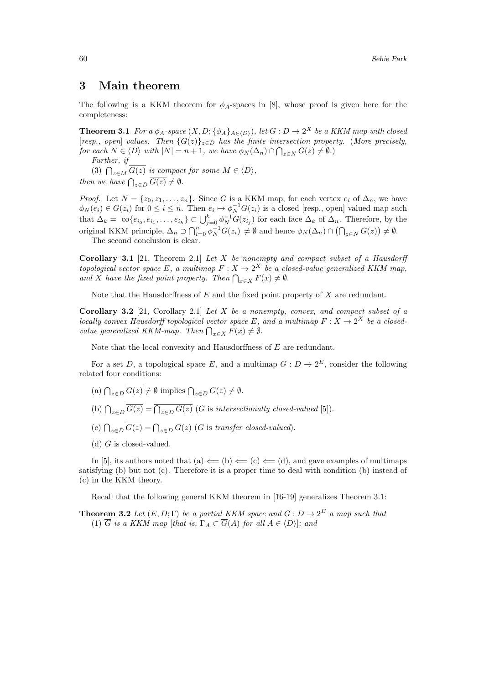## **3 Main theorem**

The following is a KKM theorem for  $\phi_A$ -spaces in [8], whose proof is given here for the completeness:

**Theorem 3.1** For a  $\phi_A$ -space  $(X, D; {\phi_A}_{A \in \langle D \rangle})$ , let  $G: D \to 2^X$  be a KKM map with closed [*resp., open*] *values. Then {G*(*z*)*}<sup>z</sup>∈<sup>D</sup> has the finite intersection property.* (*More precisely,* for each  $N \in \langle D \rangle$  with  $|N| = n + 1$ , we have  $\phi_N(\Delta_n) \cap \bigcap_{z \in N} G(z) \neq \emptyset$ .

*Further, if*

(3)  $\bigcap_{z \in M} \overline{G(z)}$  *is compact for some*  $M \in \langle D \rangle$ *, then we have*  $\bigcap_{z \in D} \overline{G(z)} \neq \emptyset$ *.* 

*Proof.* Let  $N = \{z_0, z_1, \ldots, z_n\}$ . Since *G* is a KKM map, for each vertex  $e_i$  of  $\Delta_n$ , we have  $\phi_N(e_i) \in G(z_i)$  for  $0 \leq i \leq n$ . Then  $e_i \mapsto \phi_N^{-1}G(z_i)$  is a closed [resp., open] valued map such that  $\Delta_k = \text{co}\{e_{i_0}, e_{i_1}, \dots, e_{i_k}\} \subset \bigcup_{j=0}^k \phi_N^{-1}G(z_{i_j})$  for each face  $\Delta_k$  of  $\Delta_n$ . Therefore, by the original KKM principle,  $\Delta_n \supset \bigcap_{i=0}^n \phi_N^{-1} G(z_i) \neq \emptyset$  and hence  $\phi_N(\Delta_n) \cap (\bigcap_{z \in N} G(z)) \neq \emptyset$ . The second conclusion is clear.

**Corollary 3.1** [21, Theorem 2.1] *Let X be nonempty and compact subset of a Hausdorff topological vector space*  $E$ *, a multimap*  $F: X \to 2^X$  *be a closed-value generalized KKM map, and X have the fixed point property. Then*  $\bigcap_{x \in X} F(x) \neq \emptyset$ *.* 

Note that the Hausdorffness of *E* and the fixed point property of *X* are redundant.

**Corollary 3.2** [21, Corollary 2.1] *Let X be a nonempty, convex, and compact subset of a locally convex Hausdorff topological vector space*  $E$ *, and a multimap*  $F: X \to 2^X$  *be a closedvalue generalized KKM-map. Then*  $\bigcap_{x \in X} F(x) \neq \emptyset$ *.* 

Note that the local convexity and Hausdorffness of *E* are redundant.

For a set *D*, a topological space *E*, and a multimap  $G: D \to 2^E$ , consider the following related four conditions:

- $\left(\text{a}\right) \bigcap_{z \in D} \overline{G(z)} \neq \emptyset \text{ implies } \bigcap_{z \in D} G(z) \neq \emptyset.$
- (b)  $\bigcap_{z \in D} \overline{G(z)} = \overline{\bigcap_{z \in D} G(z)}$  (*G* is *intersectionally closed-valued* [5]).
- (c)  $\bigcap_{z \in D} \overline{G(z)} = \bigcap_{z \in D} G(z)$  (*G* is *transfer closed-valued*).
- (d) *G* is closed-valued.

In [5], its authors noted that (a)  $\Leftarrow$  (b)  $\Leftarrow$  (c)  $\Leftarrow$  (d), and gave examples of multimaps satisfying (b) but not (c). Therefore it is a proper time to deal with condition (b) instead of (c) in the KKM theory.

Recall that the following general KKM theorem in [16-19] generalizes Theorem 3.1:

**Theorem 3.2** *Let*  $(E, D; \Gamma)$  *be a partial KKM space and*  $G: D \to 2^E$  *a map such that* (1)  $\overline{G}$  *is a KKM map* [*that is,*  $\Gamma_A \subset \overline{G}(A)$  *for all*  $A \in \langle D \rangle$ ]*; and*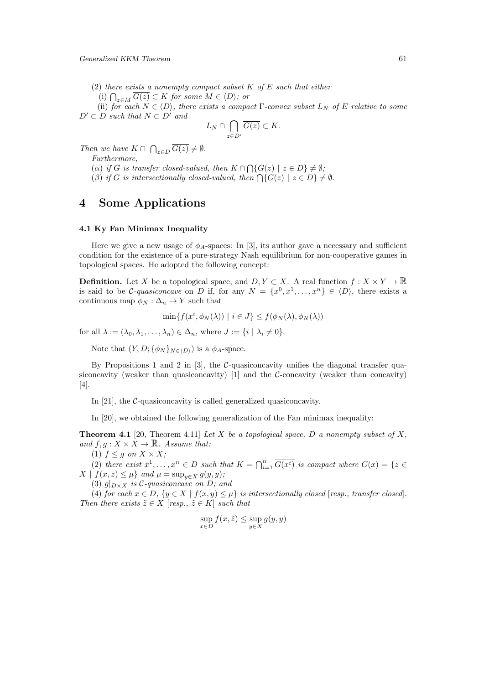(2) *there exists a nonempty compact subset K of E such that either*

(i)  $\bigcap_{z \in M} \overline{G(z)} \subset K$  *for some*  $M \in \langle D \rangle$ *; or* 

(ii) *for each*  $N \in \langle D \rangle$ *, there exists a compact*  $\Gamma$ *-convex subset*  $L_N$  *of*  $E$  *relative to some*  $D' \subset D$  *such that*  $N \subset D'$  *and* 

$$
\overline{L_N} \cap \bigcap_{z \in D'} \overline{G(z)} \subset K.
$$

*Then we have*  $K \cap \bigcap_{z \in D} \overline{G(z)} \neq \emptyset$ *.* 

*Furthermore,*

(*a*) *if G is transfer closed-valued, then*  $K \cap \bigcap \{G(z) \mid z \in D\} \neq \emptyset$ ;  $(\beta)$  *if G is intersectionally closed-valued, then*  $\bigcap \{G(z) \mid z \in D\} \neq \emptyset$ .

# **4 Some Applications**

### **4.1 Ky Fan Minimax Inequality**

Here we give a new usage of  $\phi_A$ -spaces: In [3], its author gave a necessary and sufficient condition for the existence of a pure-strategy Nash equilibrium for non-cooperative games in topological spaces. He adopted the following concept:

**Definition.** Let *X* be a topological space, and  $D, Y \subset X$ . A real function  $f: X \times Y \to \mathbb{R}$ is said to be *C*-*quasiconcave* on *D* if, for any  $N = \{x^0, x^1, \ldots, x^n\} \in \langle D \rangle$ , there exists a continuous map  $\phi_N : \Delta_n \to Y$  such that

$$
\min\{f(x^i, \phi_N(\lambda)) \mid i \in J\} \le f(\phi_N(\lambda), \phi_N(\lambda))
$$

for all  $\lambda := (\lambda_0, \lambda_1, \ldots, \lambda_n) \in \Delta_n$ , where  $J := \{i \mid \lambda_i \neq 0\}$ .

Note that  $(Y, D; {\phi_N}_{N \in (D)})$  is a  $\phi_A$ -space.

By Propositions 1 and 2 in [3], the *C*-quasiconcavity unifies the diagonal transfer quasiconcavity (weaker than quasiconcavity) [1] and the *C*-concavity (weaker than concavity) [4].

In [21], the *C*-quasiconcavity is called generalized quasiconcavity.

In [20], we obtained the following generalization of the Fan minimax inequality:

**Theorem 4.1** [20, Theorem 4.11] *Let X be a topological space, D a nonempty subset of X, and*  $f, g: X \times X \rightarrow \mathbb{R}$ *. Assume that:* 

(1)  $f \leq g$  *on*  $X \times X$ ;

(2) there exist  $x^1, \ldots, x^n \in D$  such that  $K = \bigcap_{i=1}^n \overline{G(x^i)}$  is compact where  $G(x) = \{z \in$ *X*  $| f(x, z) \leq \mu$  *and*  $\mu = \sup_{y \in X} g(y, y)$ ;

(3)  $g|_{D\times X}$  *is*  $C$ *-quasiconcave on*  $D$ *; and* 

(4) for each  $x \in D$ ,  $\{y \in X \mid f(x, y) \leq \mu\}$  is intersectionally closed [resp., transfer closed]. *Then there exists*  $\tilde{z} \in X$  [*resp.,*  $\tilde{z} \in K$ ] *such that* 

$$
\sup_{x \in D} f(x, \tilde{z}) \le \sup_{y \in X} g(y, y)
$$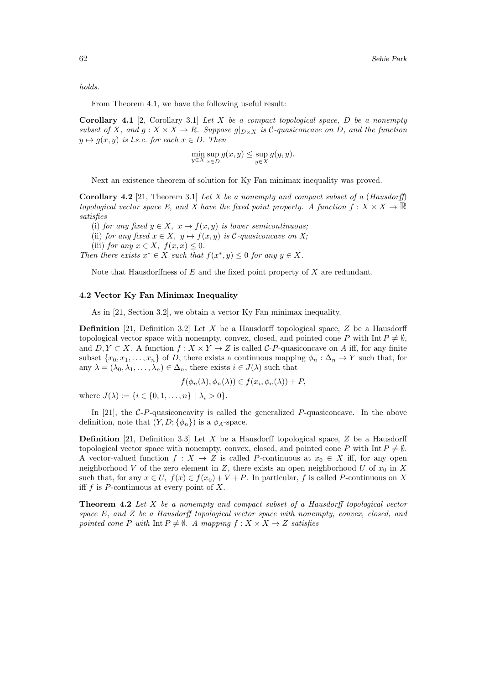*holds.*

From Theorem 4.1, we have the following useful result:

**Corollary 4.1** [2, Corollary 3.1] *Let X be a compact topological space, D be a nonempty* subset of X, and  $g: X \times X \to R$ . Suppose  $g|_{D \times X}$  is C-quasiconcave on D, and the function  $y \mapsto g(x, y)$  *is l.s.c. for each*  $x \in D$ *. Then* 

$$
\min_{y \in X} \sup_{x \in D} g(x, y) \le \sup_{y \in X} g(y, y).
$$

Next an existence theorem of solution for Ky Fan minimax inequality was proved.

**Corollary 4.2** [21, Theorem 3.1] *Let X be a nonempty and compact subset of a* (*Hausdorff*) *topological vector space E, and X have the fixed point property. A function*  $f: X \times X \to \mathbb{R}$ *satisfies*

(i) *for any fixed*  $y \in X$ ,  $x \mapsto f(x, y)$  *is lower semicontinuous;* 

(ii) *for any fixed*  $x \in X$ ,  $y \mapsto f(x, y)$  *is*  $\mathcal{C}\text{-}quasiconcave on X$ ;

(iii) *for any*  $x \in X$ ,  $f(x, x) \leq 0$ .

*Then there exists*  $x^* \in X$  *such that*  $f(x^*, y) \leq 0$  *for any*  $y \in X$ *.* 

Note that Hausdorffness of *E* and the fixed point property of *X* are redundant.

### **4.2 Vector Ky Fan Minimax Inequality**

As in [21, Section 3.2], we obtain a vector Ky Fan minimax inequality.

**Definition** [21, Definition 3.2] Let *X* be a Hausdorff topological space, *Z* be a Hausdorff topological vector space with nonempty, convex, closed, and pointed cone *P* with Int  $P \neq \emptyset$ , and  $D, Y \subset X$ . A function  $f: X \times Y \to Z$  is called *C-P*-quasiconcave on *A* iff, for any finite subset  $\{x_0, x_1, \ldots, x_n\}$  of *D*, there exists a continuous mapping  $\phi_n : \Delta_n \to Y$  such that, for any  $\lambda = (\lambda_0, \lambda_1, \dots, \lambda_n) \in \Delta_n$ , there exists  $i \in J(\lambda)$  such that

$$
f(\phi_n(\lambda), \phi_n(\lambda)) \in f(x_i, \phi_n(\lambda)) + P,
$$

where  $J(\lambda) := \{i \in \{0, 1, \ldots, n\} \mid \lambda_i > 0\}$ .

In [21], the *C*-*P*-quasiconcavity is called the generalized *P*-quasiconcave. In the above definition, note that  $(Y, D; \{\phi_n\})$  is a  $\phi_A$ -space.

**Definition** [21, Definition 3.3] Let *X* be a Hausdorff topological space, *Z* be a Hausdorff topological vector space with nonempty, convex, closed, and pointed cone *P* with Int  $P \neq \emptyset$ . A vector-valued function  $f: X \to Z$  is called *P*-continuous at  $x_0 \in X$  iff, for any open neighborhood *V* of the zero element in *Z*, there exists an open neighborhood *U* of  $x_0$  in *X* such that, for any  $x \in U$ ,  $f(x) \in f(x_0) + V + P$ . In particular, f is called P-continuous on X iff *f* is *P*-continuous at every point of *X*.

**Theorem 4.2** *Let X be a nonempty and compact subset of a Hausdorff topological vector space E, and Z be a Hausdorff topological vector space with nonempty, convex, closed, and pointed cone P with* Int  $P \neq \emptyset$ *. A mapping*  $f : X \times X \rightarrow Z$  *satisfies*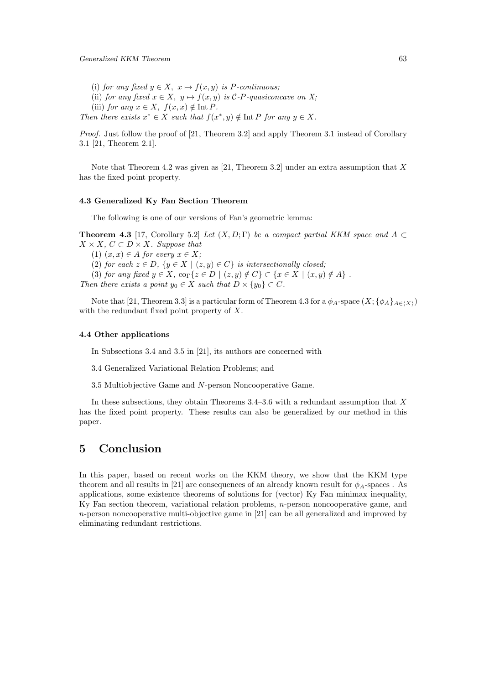- (i) *for any fixed*  $y \in X$ ,  $x \mapsto f(x, y)$  *is P-continuous*;
- (ii) *for any fixed*  $x \in X$ ,  $y \mapsto f(x, y)$  *is*  $\mathcal{C}$ *-P-quasiconcave on X;*
- (iii) *for any*  $x \in X$ ,  $f(x, x) \notin \text{Int } P$ .
- *Then there exists*  $x^* \in X$  *such that*  $f(x^*, y) \notin \text{Int } P$  *for any*  $y \in X$ *.*

*Proof.* Just follow the proof of [21, Theorem 3.2] and apply Theorem 3.1 instead of Corollary 3.1 [21, Theorem 2.1].

Note that Theorem 4.2 was given as [21, Theorem 3.2] under an extra assumption that *X* has the fixed point property.

### **4.3 Generalized Ky Fan Section Theorem**

The following is one of our versions of Fan's geometric lemma:

**Theorem 4.3** [17, Corollary 5.2] *Let*  $(X, D; \Gamma)$  *be a compact partial KKM space and*  $A \subset \Gamma$  $X$  *× X, C* ⊂ *D × X. Suppose that* 

 $(1)$   $(x, x) \in A$  *for every*  $x \in X$ ;

(2) *for each*  $z \in D$ ,  $\{y \in X \mid (z, y) \in C\}$  *is intersectionally closed;* 

(3) for any fixed  $y \in X$ ,  $\text{co}_{\Gamma}\{z \in D \mid (z, y) \notin C\} \subset \{x \in X \mid (x, y) \notin A\}$ .

*Then there exists a point*  $y_0 \in X$  *such that*  $D \times \{y_0\} \subset C$ *.* 

Note that [21, Theorem 3.3] is a particular form of Theorem 4.3 for a  $\phi_A$ -space  $(X; {\phi_A}_{A \in (X)})$ with the redundant fixed point property of *X*.

### **4.4 Other applications**

In Subsections 3.4 and 3.5 in [21], its authors are concerned with

- 3.4 Generalized Variational Relation Problems; and
- 3.5 Multiobjective Game and *N*-person Noncooperative Game.

In these subsections, they obtain Theorems 3.4–3.6 with a redundant assumption that *X* has the fixed point property. These results can also be generalized by our method in this paper.

# **5 Conclusion**

In this paper, based on recent works on the KKM theory, we show that the KKM type theorem and all results in [21] are consequences of an already known result for  $\phi_A$ -spaces. As applications, some existence theorems of solutions for (vector) Ky Fan minimax inequality, Ky Fan section theorem, variational relation problems, *n*-person noncooperative game, and *n*-person noncooperative multi-objective game in [21] can be all generalized and improved by eliminating redundant restrictions.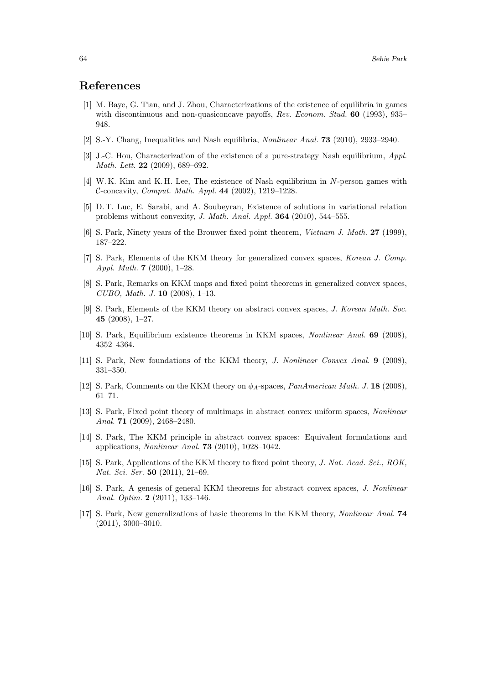# **References**

- [1] M. Baye, G. Tian, and J. Zhou, Characterizations of the existence of equilibria in games with discontinuous and non-quasiconcave payoffs, *Rev. Econom. Stud.* **60** (1993), 935– 948.
- [2] S.-Y. Chang, Inequalities and Nash equilibria, *Nonlinear Anal.* **73** (2010), 2933–2940.
- [3] J.-C. Hou, Characterization of the existence of a pure-strategy Nash equilibrium, *Appl. Math. Lett.* **22** (2009), 689–692.
- [4] W. K. Kim and K. H. Lee, The existence of Nash equilibrium in *N*-person games with *C*-concavity, *Comput. Math. Appl.* **44** (2002), 1219–1228.
- [5] D. T. Luc, E. Sarabi, and A. Soubeyran, Existence of solutions in variational relation problems without convexity, *J. Math. Anal. Appl.* **364** (2010), 544–555.
- [6] S. Park, Ninety years of the Brouwer fixed point theorem, *Vietnam J. Math.* **27** (1999), 187–222.
- [7] S. Park, Elements of the KKM theory for generalized convex spaces, *Korean J. Comp. Appl. Math.* **7** (2000), 1–28.
- [8] S. Park, Remarks on KKM maps and fixed point theorems in generalized convex spaces, *CUBO, Math. J.* **10** (2008), 1–13.
- [9] S. Park, Elements of the KKM theory on abstract convex spaces, *J. Korean Math. Soc.* **45** (2008), 1–27.
- [10] S. Park, Equilibrium existence theorems in KKM spaces, *Nonlinear Anal.* **69** (2008), 4352–4364.
- [11] S. Park, New foundations of the KKM theory, *J. Nonlinear Convex Anal.* **9** (2008), 331–350.
- [12] S. Park, Comments on the KKM theory on *ϕA*-spaces, *PanAmerican Math. J.* **18** (2008), 61–71.
- [13] S. Park, Fixed point theory of multimaps in abstract convex uniform spaces, *Nonlinear Anal.* **71** (2009), 2468–2480.
- [14] S. Park, The KKM principle in abstract convex spaces: Equivalent formulations and applications, *Nonlinear Anal.* **73** (2010), 1028–1042.
- [15] S. Park, Applications of the KKM theory to fixed point theory, *J. Nat. Acad. Sci., ROK, Nat. Sci. Ser.* **50** (2011), 21–69.
- [16] S. Park, A genesis of general KKM theorems for abstract convex spaces, *J. Nonlinear Anal. Optim.* **2** (2011), 133–146.
- [17] S. Park, New generalizations of basic theorems in the KKM theory, *Nonlinear Anal.* **74**  $(2011), 3000 - 3010.$